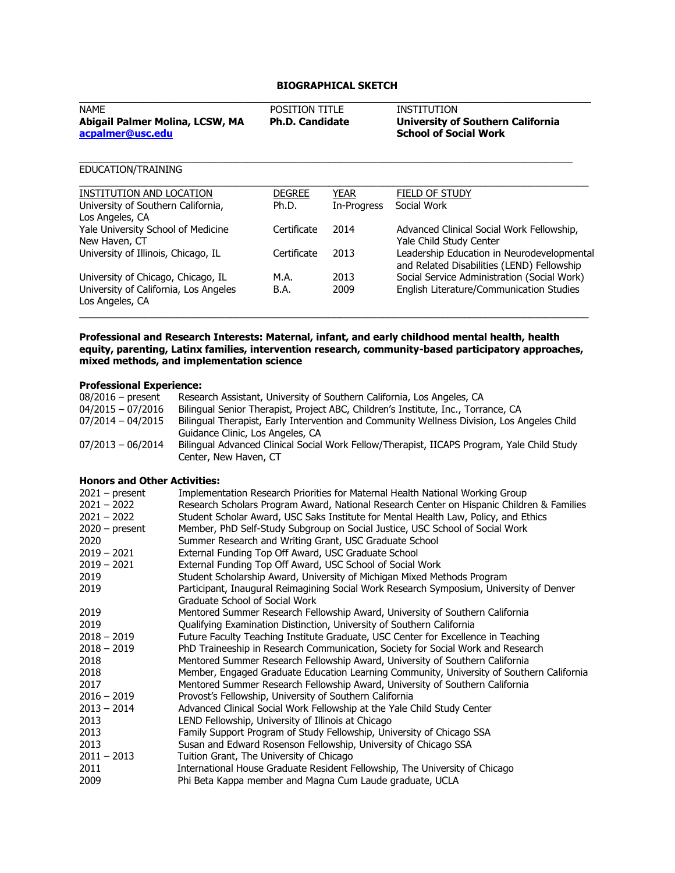# **BIOGRAPHICAL SKETCH**

| <b>NAME</b><br>Abigail Palmer Molina, LCSW, MA<br>acpalmer@usc.edu | <b>POSITION TITLE</b><br><b>Ph.D. Candidate</b> | INSTITUTION<br><b>University of Southern California</b><br><b>School of Social Work</b> |
|--------------------------------------------------------------------|-------------------------------------------------|-----------------------------------------------------------------------------------------|
| EDUCATION/TRAINING                                                 |                                                 |                                                                                         |

| INSTITUTION AND LOCATION                                 | <b>DEGREE</b> | YEAR        | <b>FIELD OF STUDY</b>                       |
|----------------------------------------------------------|---------------|-------------|---------------------------------------------|
| University of Southern California,                       | Ph.D.         | In-Progress | Social Work                                 |
| Los Angeles, CA                                          |               |             |                                             |
| Yale University School of Medicine                       | Certificate   | 2014        | Advanced Clinical Social Work Fellowship,   |
| New Haven, CT                                            |               |             | Yale Child Study Center                     |
| University of Illinois, Chicago, IL                      | Certificate   | 2013        | Leadership Education in Neurodevelopmental  |
|                                                          |               |             | and Related Disabilities (LEND) Fellowship  |
| University of Chicago, Chicago, IL                       | M.A.          | 2013        | Social Service Administration (Social Work) |
| University of California, Los Angeles<br>Los Angeles, CA | B.A.          | 2009        | English Literature/Communication Studies    |
|                                                          |               |             |                                             |

#### **Professional and Research Interests: Maternal, infant, and early childhood mental health, health equity, parenting, Latinx families, intervention research, community-based participatory approaches, mixed methods, and implementation science**

 $\mathcal{L}_\mathcal{L} = \{ \mathcal{L}_\mathcal{L} = \{ \mathcal{L}_\mathcal{L} = \{ \mathcal{L}_\mathcal{L} = \{ \mathcal{L}_\mathcal{L} = \{ \mathcal{L}_\mathcal{L} = \{ \mathcal{L}_\mathcal{L} = \{ \mathcal{L}_\mathcal{L} = \{ \mathcal{L}_\mathcal{L} = \{ \mathcal{L}_\mathcal{L} = \{ \mathcal{L}_\mathcal{L} = \{ \mathcal{L}_\mathcal{L} = \{ \mathcal{L}_\mathcal{L} = \{ \mathcal{L}_\mathcal{L} = \{ \mathcal{L}_\mathcal{$ 

# **Professional Experience:**

| <b>FIVICSSIVIIAI LAUCHCIILC.</b> |                                                                                            |  |
|----------------------------------|--------------------------------------------------------------------------------------------|--|
| $08/2016$ – present              | Research Assistant, University of Southern California, Los Angeles, CA                     |  |
| $04/2015 - 07/2016$              | Bilingual Senior Therapist, Project ABC, Children's Institute, Inc., Torrance, CA          |  |
| $07/2014 - 04/2015$              | Bilingual Therapist, Early Intervention and Community Wellness Division, Los Angeles Child |  |
|                                  | Guidance Clinic, Los Angeles, CA                                                           |  |
| $07/2013 - 06/2014$              | Bilingual Advanced Clinical Social Work Fellow/Therapist, IICAPS Program, Yale Child Study |  |
|                                  | Center, New Haven, CT                                                                      |  |

# **Honors and Other Activities:**

| $2021 - present$ | Implementation Research Priorities for Maternal Health National Working Group             |
|------------------|-------------------------------------------------------------------------------------------|
| $2021 - 2022$    | Research Scholars Program Award, National Research Center on Hispanic Children & Families |
| $2021 - 2022$    | Student Scholar Award, USC Saks Institute for Mental Health Law, Policy, and Ethics       |
| $2020 - present$ | Member, PhD Self-Study Subgroup on Social Justice, USC School of Social Work              |
| 2020             | Summer Research and Writing Grant, USC Graduate School                                    |
| $2019 - 2021$    | External Funding Top Off Award, USC Graduate School                                       |
| $2019 - 2021$    | External Funding Top Off Award, USC School of Social Work                                 |
| 2019             | Student Scholarship Award, University of Michigan Mixed Methods Program                   |
| 2019             | Participant, Inaugural Reimagining Social Work Research Symposium, University of Denver   |
|                  | Graduate School of Social Work                                                            |
| 2019             | Mentored Summer Research Fellowship Award, University of Southern California              |
| 2019             | Qualifying Examination Distinction, University of Southern California                     |
| $2018 - 2019$    | Future Faculty Teaching Institute Graduate, USC Center for Excellence in Teaching         |
| $2018 - 2019$    | PhD Traineeship in Research Communication, Society for Social Work and Research           |
| 2018             | Mentored Summer Research Fellowship Award, University of Southern California              |
| 2018             | Member, Engaged Graduate Education Learning Community, University of Southern California  |
| 2017             | Mentored Summer Research Fellowship Award, University of Southern California              |
| $2016 - 2019$    | Provost's Fellowship, University of Southern California                                   |
| $2013 - 2014$    | Advanced Clinical Social Work Fellowship at the Yale Child Study Center                   |
| 2013             | LEND Fellowship, University of Illinois at Chicago                                        |
| 2013             | Family Support Program of Study Fellowship, University of Chicago SSA                     |
| 2013             | Susan and Edward Rosenson Fellowship, University of Chicago SSA                           |
| $2011 - 2013$    | Tuition Grant, The University of Chicago                                                  |
| 2011             | International House Graduate Resident Fellowship, The University of Chicago               |
| 2009             | Phi Beta Kappa member and Magna Cum Laude graduate, UCLA                                  |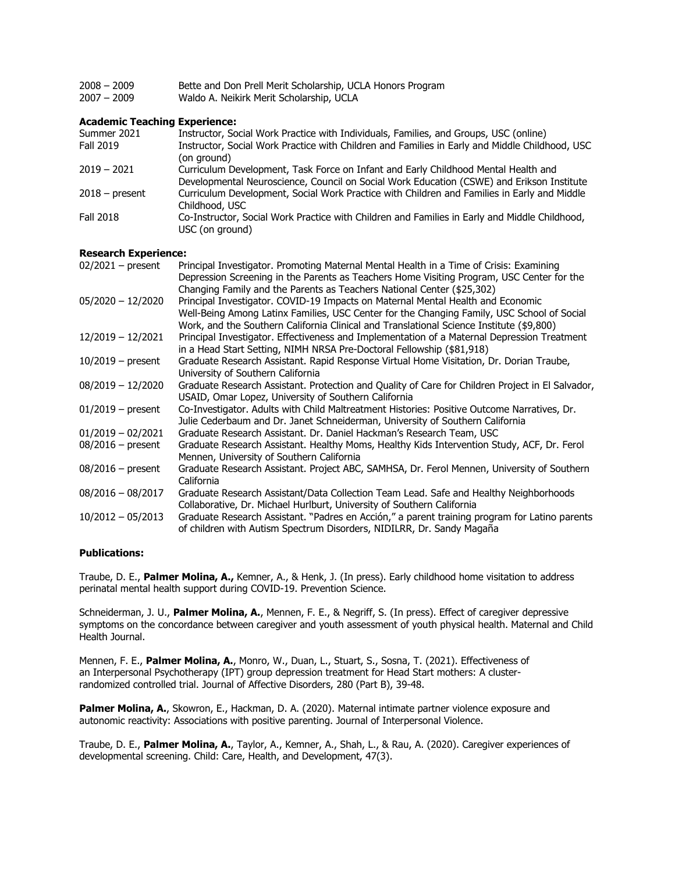2007 – 2009 Waldo A. Neikirk Merit Scholarship, UCLA

# **Academic Teaching Experience:**

| Summer 2021      | Instructor, Social Work Practice with Individuals, Families, and Groups, USC (online)                                                                                           |
|------------------|---------------------------------------------------------------------------------------------------------------------------------------------------------------------------------|
| Fall 2019        | Instructor, Social Work Practice with Children and Families in Early and Middle Childhood, USC<br>(on ground)                                                                   |
| $2019 - 2021$    | Curriculum Development, Task Force on Infant and Early Childhood Mental Health and<br>Developmental Neuroscience, Council on Social Work Education (CSWE) and Erikson Institute |
| $2018 - present$ | Curriculum Development, Social Work Practice with Children and Families in Early and Middle<br>Childhood, USC                                                                   |
| Fall 2018        | Co-Instructor, Social Work Practice with Children and Families in Early and Middle Childhood,<br>USC (on ground)                                                                |

# **Research Experience:**

| Principal Investigator. Promoting Maternal Mental Health in a Time of Crisis: Examining          |
|--------------------------------------------------------------------------------------------------|
| Depression Screening in the Parents as Teachers Home Visiting Program, USC Center for the        |
| Changing Family and the Parents as Teachers National Center (\$25,302)                           |
| Principal Investigator. COVID-19 Impacts on Maternal Mental Health and Economic                  |
| Well-Being Among Latinx Families, USC Center for the Changing Family, USC School of Social       |
| Work, and the Southern California Clinical and Translational Science Institute (\$9,800)         |
| Principal Investigator. Effectiveness and Implementation of a Maternal Depression Treatment      |
| in a Head Start Setting, NIMH NRSA Pre-Doctoral Fellowship (\$81,918)                            |
| Graduate Research Assistant. Rapid Response Virtual Home Visitation, Dr. Dorian Traube,          |
| University of Southern California                                                                |
| Graduate Research Assistant. Protection and Quality of Care for Children Project in El Salvador, |
| USAID, Omar Lopez, University of Southern California                                             |
| Co-Investigator. Adults with Child Maltreatment Histories: Positive Outcome Narratives, Dr.      |
| Julie Cederbaum and Dr. Janet Schneiderman, University of Southern California                    |
| Graduate Research Assistant. Dr. Daniel Hackman's Research Team, USC                             |
| Graduate Research Assistant. Healthy Moms, Healthy Kids Intervention Study, ACF, Dr. Ferol       |
| Mennen, University of Southern California                                                        |
| Graduate Research Assistant. Project ABC, SAMHSA, Dr. Ferol Mennen, University of Southern       |
| California                                                                                       |
| Graduate Research Assistant/Data Collection Team Lead. Safe and Healthy Neighborhoods            |
| Collaborative, Dr. Michael Hurlburt, University of Southern California                           |
| Graduate Research Assistant. "Padres en Acción," a parent training program for Latino parents    |
| of children with Autism Spectrum Disorders, NIDILRR, Dr. Sandy Magaña                            |
|                                                                                                  |

### **Publications:**

Traube, D. E., **Palmer Molina, A.,** Kemner, A., & Henk, J. (In press). Early childhood home visitation to address perinatal mental health support during COVID-19. Prevention Science.

Schneiderman, J. U., **Palmer Molina, A.**, Mennen, F. E., & Negriff, S. (In press). Effect of caregiver depressive symptoms on the concordance between caregiver and youth assessment of youth physical health. Maternal and Child Health Journal.

Mennen, F. E., **Palmer Molina, A.**, Monro, W., Duan, L., Stuart, S., Sosna, T. (2021). Effectiveness of an Interpersonal Psychotherapy (IPT) group depression treatment for Head Start mothers: A clusterrandomized controlled trial. Journal of Affective Disorders, 280 (Part B), 39-48.

Palmer Molina, A., Skowron, E., Hackman, D. A. (2020). Maternal intimate partner violence exposure and autonomic reactivity: Associations with positive parenting. Journal of Interpersonal Violence.

Traube, D. E., **Palmer Molina, A.**, Taylor, A., Kemner, A., Shah, L., & Rau, A. (2020). Caregiver experiences of developmental screening. Child: Care, Health, and Development, 47(3).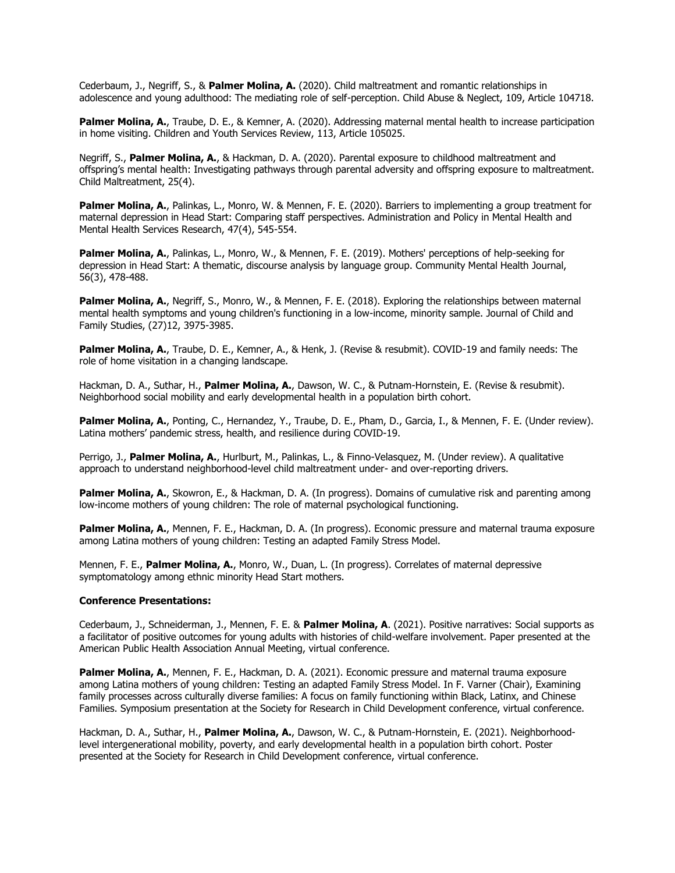Cederbaum, J., Negriff, S., & **Palmer Molina, A.** (2020). Child maltreatment and romantic relationships in adolescence and young adulthood: The mediating role of self-perception. Child Abuse & Neglect, 109, Article 104718.

**Palmer Molina, A.**, Traube, D. E., & Kemner, A. (2020). Addressing maternal mental health to increase participation in home visiting. Children and Youth Services Review, 113, Article 105025.

Negriff, S., **Palmer Molina, A.**, & Hackman, D. A. (2020). Parental exposure to childhood maltreatment and offspring's mental health: Investigating pathways through parental adversity and offspring exposure to maltreatment. Child Maltreatment, 25(4).

**Palmer Molina, A.**, Palinkas, L., Monro, W. & Mennen, F. E. (2020). Barriers to implementing a group treatment for maternal depression in Head Start: Comparing staff perspectives. Administration and Policy in Mental Health and Mental Health Services Research, 47(4), 545-554.

**Palmer Molina, A.**, Palinkas, L., Monro, W., & Mennen, F. E. (2019). Mothers' perceptions of help-seeking for depression in Head Start: A thematic, discourse analysis by language group. Community Mental Health Journal, 56(3), 478-488.

**Palmer Molina, A.**, Negriff, S., Monro, W., & Mennen, F. E. (2018). Exploring the relationships between maternal mental health symptoms and young children's functioning in a low-income, minority sample. Journal of Child and Family Studies, (27)12, 3975-3985.

**Palmer Molina, A.**, Traube, D. E., Kemner, A., & Henk, J. (Revise & resubmit). COVID-19 and family needs: The role of home visitation in a changing landscape.

Hackman, D. A., Suthar, H., **Palmer Molina, A.**, Dawson, W. C., & Putnam-Hornstein, E. (Revise & resubmit). Neighborhood social mobility and early developmental health in a population birth cohort.

**Palmer Molina, A.**, Ponting, C., Hernandez, Y., Traube, D. E., Pham, D., Garcia, I., & Mennen, F. E. (Under review). Latina mothers' pandemic stress, health, and resilience during COVID-19.

Perrigo, J., **Palmer Molina, A.**, Hurlburt, M., Palinkas, L., & Finno-Velasquez, M. (Under review). A qualitative approach to understand neighborhood-level child maltreatment under- and over-reporting drivers.

**Palmer Molina, A.**, Skowron, E., & Hackman, D. A. (In progress). Domains of cumulative risk and parenting among low-income mothers of young children: The role of maternal psychological functioning.

**Palmer Molina, A.**, Mennen, F. E., Hackman, D. A. (In progress). Economic pressure and maternal trauma exposure among Latina mothers of young children: Testing an adapted Family Stress Model.

Mennen, F. E., **Palmer Molina, A.**, Monro, W., Duan, L. (In progress). Correlates of maternal depressive symptomatology among ethnic minority Head Start mothers.

#### **Conference Presentations:**

Cederbaum, J., Schneiderman, J., Mennen, F. E. & **Palmer Molina, A**. (2021). Positive narratives: Social supports as a facilitator of positive outcomes for young adults with histories of child-welfare involvement. Paper presented at the American Public Health Association Annual Meeting, virtual conference.

**Palmer Molina, A.**, Mennen, F. E., Hackman, D. A. (2021). Economic pressure and maternal trauma exposure among Latina mothers of young children: Testing an adapted Family Stress Model. In F. Varner (Chair), Examining family processes across culturally diverse families: A focus on family functioning within Black, Latinx, and Chinese Families. Symposium presentation at the Society for Research in Child Development conference, virtual conference.

Hackman, D. A., Suthar, H., **Palmer Molina, A.**, Dawson, W. C., & Putnam-Hornstein, E. (2021). Neighborhoodlevel intergenerational mobility, poverty, and early developmental health in a population birth cohort. Poster presented at the Society for Research in Child Development conference, virtual conference.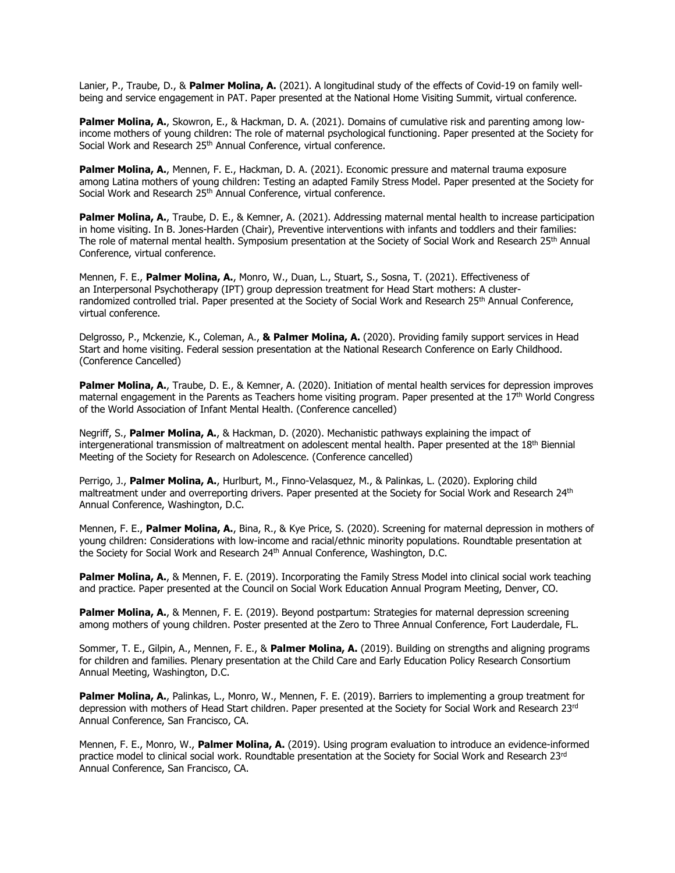Lanier, P., Traube, D., & **Palmer Molina, A.** (2021). A longitudinal study of the effects of Covid-19 on family wellbeing and service engagement in PAT. Paper presented at the National Home Visiting Summit, virtual conference.

**Palmer Molina, A.**, Skowron, E., & Hackman, D. A. (2021). Domains of cumulative risk and parenting among lowincome mothers of young children: The role of maternal psychological functioning. Paper presented at the Society for Social Work and Research 25<sup>th</sup> Annual Conference, virtual conference.

**Palmer Molina, A.**, Mennen, F. E., Hackman, D. A. (2021). Economic pressure and maternal trauma exposure among Latina mothers of young children: Testing an adapted Family Stress Model. Paper presented at the Society for Social Work and Research 25<sup>th</sup> Annual Conference, virtual conference.

**Palmer Molina, A.**, Traube, D. E., & Kemner, A. (2021). Addressing maternal mental health to increase participation in home visiting. In B. Jones-Harden (Chair), Preventive interventions with infants and toddlers and their families: The role of maternal mental health. Symposium presentation at the Society of Social Work and Research 25<sup>th</sup> Annual Conference, virtual conference.

Mennen, F. E., **Palmer Molina, A.**, Monro, W., Duan, L., Stuart, S., Sosna, T. (2021). Effectiveness of an Interpersonal Psychotherapy (IPT) group depression treatment for Head Start mothers: A clusterrandomized controlled trial. Paper presented at the Society of Social Work and Research 25<sup>th</sup> Annual Conference, virtual conference.

Delgrosso, P., Mckenzie, K., Coleman, A., **& Palmer Molina, A.** (2020). Providing family support services in Head Start and home visiting. Federal session presentation at the National Research Conference on Early Childhood. (Conference Cancelled)

**Palmer Molina, A.**, Traube, D. E., & Kemner, A. (2020). Initiation of mental health services for depression improves maternal engagement in the Parents as Teachers home visiting program. Paper presented at the 17th World Congress of the World Association of Infant Mental Health. (Conference cancelled)

Negriff, S., **Palmer Molina, A.**, & Hackman, D. (2020). Mechanistic pathways explaining the impact of intergenerational transmission of maltreatment on adolescent mental health. Paper presented at the 18th Biennial Meeting of the Society for Research on Adolescence. (Conference cancelled)

Perrigo, J., **Palmer Molina, A.**, Hurlburt, M., Finno-Velasquez, M., & Palinkas, L. (2020). Exploring child maltreatment under and overreporting drivers. Paper presented at the Society for Social Work and Research 24th Annual Conference, Washington, D.C.

Mennen, F. E., **Palmer Molina, A.**, Bina, R., & Kye Price, S. (2020). Screening for maternal depression in mothers of young children: Considerations with low-income and racial/ethnic minority populations. Roundtable presentation at the Society for Social Work and Research 24<sup>th</sup> Annual Conference, Washington, D.C.

**Palmer Molina, A.**, & Mennen, F. E. (2019). Incorporating the Family Stress Model into clinical social work teaching and practice. Paper presented at the Council on Social Work Education Annual Program Meeting, Denver, CO.

Palmer Molina, A., & Mennen, F. E. (2019). Beyond postpartum: Strategies for maternal depression screening among mothers of young children. Poster presented at the Zero to Three Annual Conference, Fort Lauderdale, FL.

Sommer, T. E., Gilpin, A., Mennen, F. E., & **Palmer Molina, A.** (2019). Building on strengths and aligning programs for children and families. Plenary presentation at the Child Care and Early Education Policy Research Consortium Annual Meeting, Washington, D.C.

Palmer Molina, A., Palinkas, L., Monro, W., Mennen, F. E. (2019). Barriers to implementing a group treatment for depression with mothers of Head Start children. Paper presented at the Society for Social Work and Research 23rd Annual Conference, San Francisco, CA.

Mennen, F. E., Monro, W., **Palmer Molina, A.** (2019). Using program evaluation to introduce an evidence-informed practice model to clinical social work. Roundtable presentation at the Society for Social Work and Research 23rd Annual Conference, San Francisco, CA.